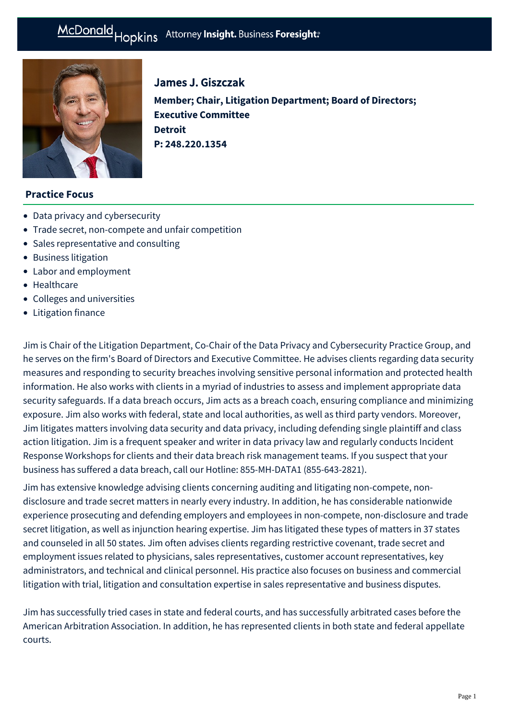# McDonald Hopkins Attorney Insight. Business Foresight:



# James J. Giszczak

**Member; Chair, Litigation Department; Board of Directors; Executive Committee Detroit P: [248.220.1354](tel:248.220.1354)**

## **Practice Focus**

- [Data privacy and cybersecurity](https://mcdonaldhopkins.com/Expertise/Data-privacy-and-cybersecurity)
- [Trade secret, non-compete and unfair competition](https://mcdonaldhopkins.com/Expertise/Litigation/Tradesecret-noncompete-unfair-competition)
- [Sales representative and consulting](https://mcdonaldhopkins.com/Expertise/Litigation/Sales-representative-and-consulting)
- [Business litigation](https://mcdonaldhopkins.com/Expertise/Litigation/Business-litigation)
- [Labor and employment](https://mcdonaldhopkins.com/Expertise/Labor-and-employment)
- [Healthcare](https://mcdonaldhopkins.com/Expertise/Healthcare)
- [Colleges and universities](https://mcdonaldhopkins.com/Expertise/Industries/Colleges-and-universities)
- [Litigation finance](https://mcdonaldhopkins.com/Expertise/Litigation/Litigation-finance)

Jim is Chair of the Litigation Department, Co-Chair of the Data Privacy and Cybersecurity Practice Group, and he serves on the firm's Board of Directors and Executive Committee. He advises clients regarding data security measures and responding to security breaches involving sensitive personal information and protected health information. He also works with clients in a myriad of industries to assess and implement appropriate data security safeguards. If a data breach occurs, Jim acts as a breach coach, ensuring compliance and minimizing exposure. Jim also works with federal, state and local authorities, as well as third party vendors. Moreover, Jim litigates matters involving data security and data privacy, including defending single plaintiff and class action litigation. Jim is a frequent speaker and writer in data privacy law and regularly conducts Incident Response Workshops for clients and their data breach risk management teams. If you suspect that your business has suffered a data breach, call our Hotline: 855-MH-DATA1 (855-643-2821).

Jim has extensive knowledge advising clients concerning auditing and litigating non-compete, nondisclosure and trade secret matters in nearly every industry. In addition, he has considerable nationwide experience prosecuting and defending employers and employees in non-compete, non-disclosure and trade secret litigation, as well as injunction hearing expertise. Jim has litigated these types of matters in 37 states and counseled in all 50 states. Jim often advises clients regarding restrictive covenant, trade secret and employment issues related to physicians, sales representatives, customer account representatives, key administrators, and technical and clinical personnel. His practice also focuses on business and commercial litigation with trial, litigation and consultation expertise in sales representative and business disputes.

Jim has successfully tried cases in state and federal courts, and has successfully arbitrated cases before the American Arbitration Association. In addition, he has represented clients in both state and federal appellate courts.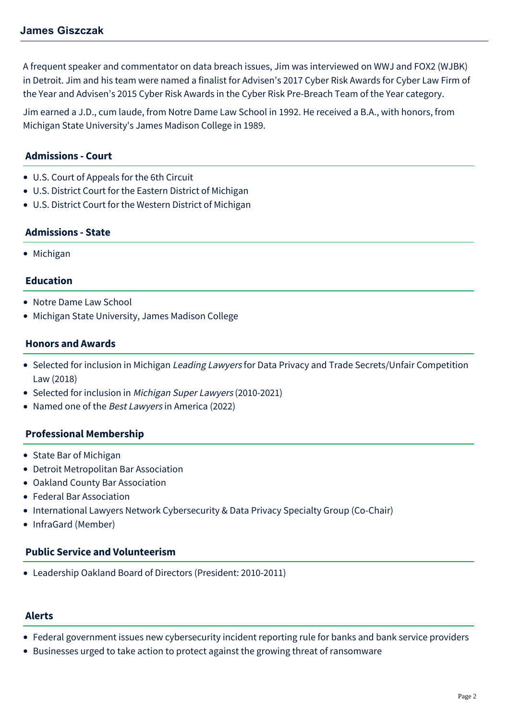A frequent speaker and commentator on data breach issues, Jim was interviewed on WWJ and FOX2 (WJBK) in Detroit. Jim and his team were named a finalist for Advisen's 2017 Cyber Risk Awards for Cyber Law Firm of the Year and Advisen's 2015 Cyber Risk Awards in the Cyber Risk Pre-Breach Team of the Year category.

Jim earned a J.D., cum laude, from Notre Dame Law School in 1992. He received a B.A., with honors, from Michigan State University's James Madison College in 1989.

# **Admissions - Court**

- U.S. Court of Appeals for the 6th Circuit
- U.S. District Court for the Eastern District of Michigan
- U.S. District Court for the Western District of Michigan

## **Admissions - State**

• Michigan

## **Education**

- Notre Dame Law School
- Michigan State University, James Madison College

## **Honors and Awards**

- Selected for inclusion in Michigan Leading Lawyers for Data Privacy and Trade Secrets/Unfair Competition Law (2018)
- Selected for inclusion in [Michigan Super Lawyers](http://www.superlawyers.com/michigan/lawyer/James-J-Giszczak/07656d71-3fb3-4eb6-adae-eac9b1a6c5d2.html) (2010-2021)
- Named one of the Best Lawyers in America (2022)

## **Professional Membership**

- State Bar of Michigan
- Detroit Metropolitan Bar Association
- Oakland County Bar Association
- Federal Bar Association
- International Lawyers Network Cybersecurity & Data Privacy Specialty Group (Co-Chair)
- InfraGard (Member)

#### **Public Service and Volunteerism**

[Leadership Oakland](http://www.leadershipoakland.com/) Board of Directors (President: 2010-2011)

# **Alerts**

- [Federal government issues new cybersecurity incident reporting rule for banks and bank service providers](https://mcdonaldhopkins.com/Insights/November-2021/Federal-government-issues-new-cybersecurity-incide)
- [Businesses urged to take action to protect against the growing threat of ransomware](https://mcdonaldhopkins.com/Insights/June-2021/Businesses-urged-to-take-action-to-protect-against)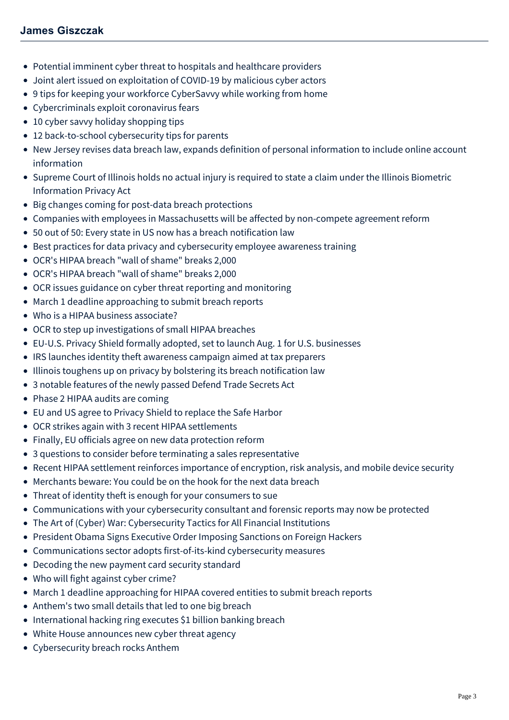- [Potential imminent cyber threat to hospitals and healthcare providers](https://mcdonaldhopkins.com/Insights/October-2020/Potential-imminent-threat-to-hospitals-and-healthc)
- [Joint alert issued on exploitation of COVID-19 by malicious cyber actors](https://mcdonaldhopkins.com/Insights/April-2020/Joint-alert-issued-on-exploitation-of-COVID19-by-m)
- [9 tips for keeping your workforce CyberSavvy while working from home](https://mcdonaldhopkins.com/Insights/March-2020/9-tips-for-keeping-your-workforce-CyberSavvy-while)
- [Cybercriminals exploit coronavirus fears](https://mcdonaldhopkins.com/Insights/March-2020/Cybercriminals-exploit-Coronavirus-fears)
- [10 cyber savvy holiday shopping tips](https://mcdonaldhopkins.com/Insights/November-2019/10-cyber-savvy-holiday-shopping-tips)
- [12 back-to-school cybersecurity tips for parents](https://mcdonaldhopkins.com/Insights/August-2019/12-back-to-school-cybersecurity-tips-for-parents)
- [New Jersey revises data breach law, expands definition of personal information to include online account](https://mcdonaldhopkins.com/Insights/June-2019/NJ-revises-data-breach-law-expands-definition-of-p) information
- [Supreme Court of Illinois holds no actual injury is required to state a claim under the Illinois Biometric](https://mcdonaldhopkins.com/Insights/January-2019/No-actual-injury-is-required-to-state-claim-under) Information Privacy Act
- [Big changes coming for post-data breach protections](https://mcdonaldhopkins.com/Insights/September-2018/Big-changes-coming-for-post-data-breach-protection)
- [Companies with employees in Massachusetts will be affected by non-compete agreement reform](https://mcdonaldhopkins.com/Insights/August-2018/Companies-with-employees-in-Massachusetts-will-be)
- [50 out of 50: Every state in US now has a breach notification law](https://mcdonaldhopkins.com/Insights/April-2018/50-out-of-50-Every-state-in-US-now-has-a-breach-no)
- [Best practices for data privacy and cybersecurity employee awareness training](https://mcdonaldhopkins.com/Insights/March-2018/Best-practices-for-data-privacy-and-cybersecurity)
- [OCR's HIPAA breach "wall of shame" breaks 2,000](https://mcdonaldhopkins.com/Insights/August-2017/OCR-s-HIPAA-breach-wall-of-shame-breaks-2,000-(1))
- [OCR's HIPAA breach "wall of shame" breaks 2,000](https://mcdonaldhopkins.com/Insights/August-2017/OCR-s-HIPAA-breach-wall-of-shame-breaks-2,000)
- [OCR issues guidance on cyber threat reporting and monitoring](https://mcdonaldhopkins.com/Insights/April-2017/OCR-issues-guidance-on-cyber-threat-reporting-and)
- [March 1 deadline approaching to submit breach reports](https://mcdonaldhopkins.com/Insights/February-2017/March-1-deadline-approaching-to-submit-breach-repo)
- [Who is a HIPAA business associate?](https://mcdonaldhopkins.com/Insights/January-2017/Who-is-a-HIPAA-business-associate)
- [OCR to step up investigations of small HIPAA breaches](https://mcdonaldhopkins.com/Insights/August-2016/OCR-to-step-up-investigations-of-small-HIPAA-breac)
- [EU-U.S. Privacy Shield formally adopted, set to launch Aug. 1 for U.S. businesses](https://mcdonaldhopkins.com/Insights/July-2016/EUUS-Privacy-Shield-Formally-Adopted-Set-to-Launch)
- [IRS launches identity theft awareness campaign aimed at tax preparers](https://mcdonaldhopkins.com/Insights/July-2016/IRS-launches-identity-theft-awareness-campaign-aim)
- [Illinois toughens up on privacy by bolstering its breach notification law](https://mcdonaldhopkins.com/Insights/June-2016/Illinois-toughens-up-on-privacy-by-bolstering-its)
- [3 notable features of the newly passed Defend Trade Secrets Act](https://mcdonaldhopkins.com/Insights/April-2016/3-notable-features-of-the-newly-passed-Defend-Trad)
- [Phase 2 HIPAA audits are coming](https://mcdonaldhopkins.com/Insights/March-2016/Phase-2-HIPAA-audits-are-coming)
- [EU and US agree to Privacy Shield to replace the Safe Harbor](https://mcdonaldhopkins.com/Insights/March-2016/EU-and-US-agree-to-Privacy-Shield-to-replace-the-S)
- [OCR strikes again with 3 recent HIPAA settlements](https://mcdonaldhopkins.com/Insights/January-2016/OCR-strikes-again-with-3-recent-HIPAA-settlements)
- [Finally, EU officials agree on new data protection reform](https://mcdonaldhopkins.com/Insights/December-2015/Finally-EU-officials-agree-on-new-data-protection)
- [3 questions to consider before terminating a sales representative](https://mcdonaldhopkins.com/Insights/December-2015/3-questions-to-consider-before-terminating-a-sales)
- [Recent HIPAA settlement reinforces importance of encryption, risk analysis, and mobile device security](https://mcdonaldhopkins.com/Insights/September-2015/Healthcare-and-Data-Privacy-and-Cybersecurity-Rece)
- [Merchants beware: You could be on the hook for the next data breach](https://mcdonaldhopkins.com/Insights/August-2015/Data-Privacy-and-Cybersecurity-Merchants-beware-Yo)
- [Threat of identity theft is enough for your consumers to sue](https://mcdonaldhopkins.com/Insights/August-2015/Data-Privacy-and-Cybersecurity-Threat-of-identity)
- [Communications with your cybersecurity consultant and forensic reports may now be protected](https://mcdonaldhopkins.com/Insights/June-2015/Data-Privacy-and-Cybersecurity-Communications-with)
- [The Art of \(Cyber\) War: Cybersecurity Tactics for All Financial Institutions](https://mcdonaldhopkins.com/Insights/April-2015/The-Art-of-Cyber-War-Cybersecurity-Tactics-for-Al)
- [President Obama Signs Executive Order Imposing Sanctions on Foreign Hackers](https://mcdonaldhopkins.com/Insights/April-2015/President-Obama-Signs-Executive-Order-Imposing-San)
- [Communications sector adopts first-of-its-kind cybersecurity measures](https://mcdonaldhopkins.com/Insights/March-2015/Communications-sector-adopts-first-of-its-kind-cyb)
- [Decoding the new payment card security standard](https://mcdonaldhopkins.com/Insights/March-2015/Data-Privacy-and-Cybersecurity-Alert-Decoding-the)
- [Who will fight against cyber crime?](https://mcdonaldhopkins.com/Insights/Febrary-2015/Who-will-fight-against-cyber-crime)
- [March 1 deadline approaching for HIPAA covered entities to submit breach reports](https://mcdonaldhopkins.com/Insights/Febrary-2015/March-1-deadline-approaching-for-HIPAA-covered-ent)
- [Anthem's two small details that led to one big breach](https://mcdonaldhopkins.com/Insights/Febrary-2015/Data-Privacy-and-Cybersecurity-Alert-Anthems-two-s)
- [International hacking ring executes \\$1 billion banking breach](https://mcdonaldhopkins.com/Insights/Febrary-2015/Data-Privacy-and-Cybersecurity-Alert-International)
- [White House announces new cyber threat agency](https://mcdonaldhopkins.com/Insights/Febrary-2015/White-House-announces-new-cyber-threat-agency)
- [Cybersecurity breach rocks Anthem](https://mcdonaldhopkins.com/Insights/Febrary-2015/Data-Privacy-and-Cybersecurity-Alert-Cybersecurity)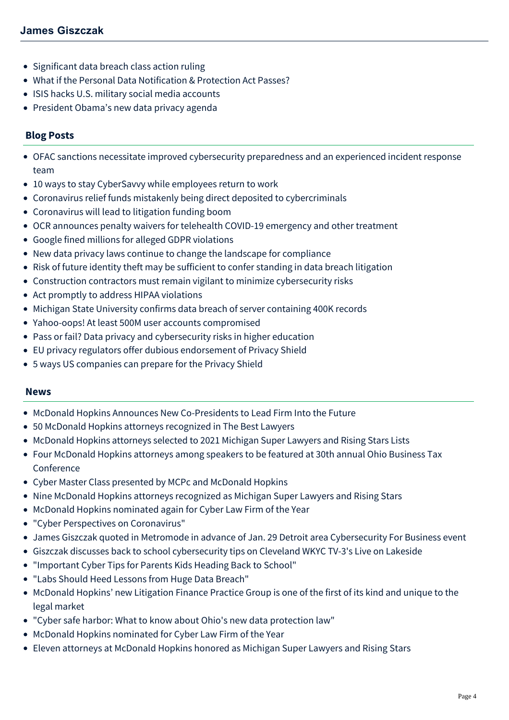- [Significant data breach class action ruling](https://mcdonaldhopkins.com/Insights/January-2015/Data-Privacy-and-Cybersecurity-Alert-Significant-d)
- [What if the Personal Data Notification & Protection Act Passes?](https://mcdonaldhopkins.com/Insights/January-2015/Data-Privacy-and-Cybersecurity-Alert-What-if-the-P)
- [ISIS hacks U.S. military social media accounts](https://mcdonaldhopkins.com/Insights/January-2015/Data-Privacy-and-Cybersecurity-Alert-ISIS-hacks-US)
- [President Obama's new data privacy agenda](https://mcdonaldhopkins.com/Insights/January-2015/President-Obamas-new-data-privacy-agenda)

# **Blog Posts**

- [OFAC sanctions necessitate improved cybersecurity preparedness and an experienced incident response](https://mcdonaldhopkins.com/Insights/September-2021/OFAC-sanctions-necessitate-improved-cybersecurity) team
- [10 ways to stay CyberSavvy while employees return to work](https://mcdonaldhopkins.com/Insights/May-2020/10-ways-to-stay-CyberSavvy-while-employees-return)
- [Coronavirus relief funds mistakenly being direct deposited to cybercriminals](https://mcdonaldhopkins.com/Insights/April-2020/Coronavirus-relief-funds-mistakenly-being-direct-d)
- [Coronavirus will lead to litigation funding boom](https://mcdonaldhopkins.com/Insights/April-2020/Coronavirus-will-lead-to-litigation-funding-boom)
- [OCR announces penalty waivers for telehealth COVID-19 emergency and other treatment](https://mcdonaldhopkins.com/Insights/March-2020/OCR-Announces-Penalty-Waivers-for-Telehealth-COVID)
- [Google fined millions for alleged GDPR violations](https://mcdonaldhopkins.com/Insights/February-2019/Google-fined-millions-alleged-GDPR-violations)
- [New data privacy laws continue to change the landscape for compliance](https://mcdonaldhopkins.com/Insights/September-2018/New-data-privacy-laws-continue-to-change-the-lands)
- [Risk of future identity theft may be sufficient to confer standing in data breach litigation](https://mcdonaldhopkins.com/Insights/March-2018/Risk-of-future-identity-theft-may-be-sufficient-to)
- [Construction contractors must remain vigilant to minimize cybersecurity risks](https://mcdonaldhopkins.com/Insights/November-2017/Construction-contractors-must-remain-vigilant-to-m)
- [Act promptly to address HIPAA violations](https://mcdonaldhopkins.com/Insights/May-2017/Act-promptly-to-address-HIPAA-violations)
- [Michigan State University confirms data breach of server containing 400K records](https://mcdonaldhopkins.com/Insights/November-2016/Michigan-State-University-confirms-data-breach-of)
- [Yahoo-oops! At least 500M user accounts compromised](https://mcdonaldhopkins.com/Insights/September-2016/Yahoooops-At-Least-500-Million-User-Accounts-Compr)
- [Pass or fail? Data privacy and cybersecurity risks in higher education](https://mcdonaldhopkins.com/Insights/August-2016/Pass-or-fail-Data-privacy-and-cybersecurity-risks)
- [EU privacy regulators offer dubious endorsement of Privacy Shield](https://mcdonaldhopkins.com/Insights/July-2016/EU-privacy-regulators-offer-dubious-endorsement-of)
- [5 ways US companies can prepare for the Privacy Shield](https://mcdonaldhopkins.com/Insights/July-2016/5-ways-US-companies-can-prepare-for-the-Privacy-Sh)

## **News**

- [McDonald Hopkins Announces New Co-Presidents to Lead Firm Into the Future](https://mcdonaldhopkins.com/Insights/March-2022/McDonald-Hopkins-elects-Giszczak-and-Stief-as-pres)
- [50 McDonald Hopkins attorneys recognized in The Best Lawyers](https://mcdonaldhopkins.com/Insights/August-2021/50-McDonald-Hopkins-attorneys-recognized-in-The-Be)
- [McDonald Hopkins attorneys selected to 2021 Michigan Super Lawyers and Rising Stars Lists](https://mcdonaldhopkins.com/Insights/August-2021/McDonald-Hopkins-attorneys-selected-to-2021-Michig)
- [Four McDonald Hopkins attorneys among speakers to be featured at 30th annual Ohio Business Tax](https://mcdonaldhopkins.com/Insights/January-2021/Four-McDonald-Hopkins-attorneys-among-speakers-to) Conference
- [Cyber Master Class presented by MCPc and McDonald Hopkins](https://mcdonaldhopkins.com/Insights/September-2020/Cyber-Master-Class-presented-by-MCPc-and-McDonald)
- [Nine McDonald Hopkins attorneys recognized as Michigan Super Lawyers and Rising Stars](https://mcdonaldhopkins.com/Insights/September-2020/Nine-McDonald-Hopkins-attorneys-recognized-as-Mich)
- [McDonald Hopkins nominated again for Cyber Law Firm of the Year](https://mcdonaldhopkins.com/Insights/April-2020/McDonald-Hopkins-nominated-again-for-Cyber-Law-Fir)
- ["Cyber Perspectives on Coronavirus"](https://mcdonaldhopkins.com/Insights/April-2020/Cyber-Perspectives-on-Coronavirus)
- [James Giszczak quoted in Metromode in advance of Jan. 29 Detroit area Cybersecurity For Business event](https://mcdonaldhopkins.com/Insights/January-2020/James-Giszczak-quoted-in-Metromode-in-advance-of-J)
- [Giszczak discusses back to school cybersecurity tips on Cleveland WKYC TV-3's Live on Lakeside](https://mcdonaldhopkins.com/Insights/September-2019/Giszczak-discusses-back-to-school-cybersecurity-ti)
- ["Important Cyber Tips for Parents Kids Heading Back to School"](https://mcdonaldhopkins.com/Insights/September-2019/Important-Cyber-Tips-for-Parents-Kids-Heading-Back)
- ["Labs Should Heed Lessons from Huge Data Breach"](https://mcdonaldhopkins.com/Insights/July-2019/Labs-Should-Heed-Lessons-from-Huge-Data-Breach)
- [McDonald Hopkins' new Litigation Finance Practice Group is one of the first of its kind and unique to the](https://mcdonaldhopkins.com/Insights/April-2019/new-Litigation-Finance-Practice-Group-is-one-of-th) legal market
- ["Cyber safe harbor: What to know about Ohio's new data protection law"](https://mcdonaldhopkins.com/Insights/December-2018/Cyber-safe-harbor-What-to-know-about-Ohios-new-dat)
- [McDonald Hopkins nominated for Cyber Law Firm of the Year](https://mcdonaldhopkins.com/Insights/March-2018/McDonald-Hopkins-nominated-for-Cyber-Law-Firm-of-t)
- [Eleven attorneys at McDonald Hopkins honored as Michigan Super Lawyers and Rising Stars](https://mcdonaldhopkins.com/Insights/September-2017/Eleven-attorneys-at-McDonald-Hopkins-honored-a-(1))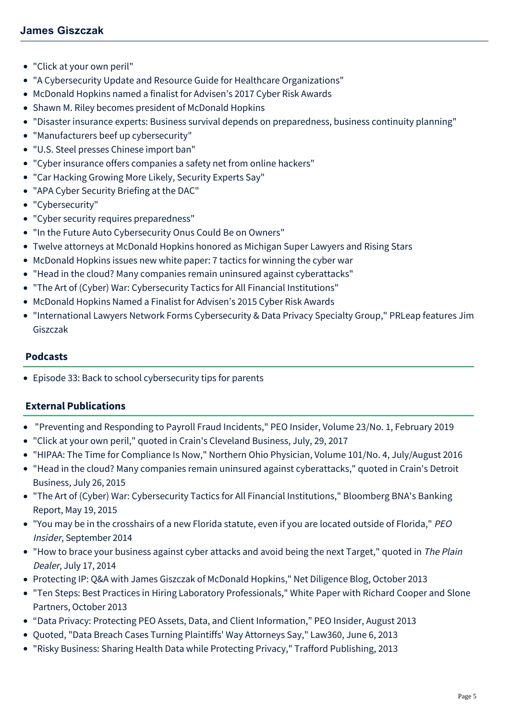- ["Click at your own peril"](https://mcdonaldhopkins.com/Insights/August-2017/Click-at-your-own-peril)
- ["A Cybersecurity Update and Resource Guide for Healthcare Organizations"](https://mcdonaldhopkins.com/Insights/July-2017/A-Cybersecurity-Update-and-Resource-Guide-for-Heal)
- [McDonald Hopkins named a finalist for Advisen's 2017 Cyber Risk Awards](https://mcdonaldhopkins.com/Insights/April-2017/McDonald-Hopkins-named-a-finalist-for-Advisens-201)
- [Shawn M. Riley becomes president of McDonald Hopkins](https://mcdonaldhopkins.com/Insights/October-2016/Shawn-M-Riley-becomes-president-of-McDonald-Hopkin)
- ["Disaster insurance experts: Business survival depends on preparedness, business continuity planning"](https://mcdonaldhopkins.com/Insights/July-2016/Disaster-insurance-experts-Business-survival-depen)
- ["Manufacturers beef up cybersecurity"](https://mcdonaldhopkins.com/Insights/May-2016/Manufacturers-beef-up-cybersecurity)
- ["U.S. Steel presses Chinese import ban"](https://mcdonaldhopkins.com/Insights/May-2016/US-Steel-presses-Chinese-import-ban)
- ["Cyber insurance offers companies a safety net from online hackers"](https://mcdonaldhopkins.com/Insights/February-2016/Cyber-insurance-offers-companies-a-safety-net-from)
- ["Car Hacking Growing More Likely, Security Experts Say"](https://mcdonaldhopkins.com/Insights/February-2016/Car-Hacking-Growing-More-Likely-Security-Experts-S)
- ["APA Cyber Security Briefing at the DAC"](https://mcdonaldhopkins.com/Insights/February-2016/APA-Cyber-Security-Briefing-at-the-DAC)
- ["Cybersecurity"](https://mcdonaldhopkins.com/Insights/December-2015/%22Cybersecurity%22)
- ["Cyber security requires preparedness"](https://mcdonaldhopkins.com/Insights/December-2015/Cyber-security-requires-preparedness-Jim-Giszczak)
- ["In the Future Auto Cybersecurity Onus Could Be on Owners"](https://mcdonaldhopkins.com/Insights/November-2015/In-the-Future-Auto-Cybersecurity-Onus-Could-Be-on)
- [Twelve attorneys at McDonald Hopkins honored as Michigan Super Lawyers and Rising Stars](https://mcdonaldhopkins.com/Insights/September-2015/Twelve-attorneys-at-McDonald-Hopkins-honored-as-Mi)
- [McDonald Hopkins issues new white paper: 7 tactics for winning the cyber war](https://mcdonaldhopkins.com/Insights/August-2015/McDonald-Hopkins-issues-new-white-paper-7-tactics)
- ["Head in the cloud? Many companies remain uninsured against cyberattacks"](https://mcdonaldhopkins.com/Insights/July-2015/Head-in-the-cloud-Many-companies-remain-uninsured)
- ["The Art of \(Cyber\) War: Cybersecurity Tactics for All Financial Institutions"](https://mcdonaldhopkins.com/Insights/May-2015/The-Art-of-Cyber-War-Cybersecurity-Tactics-for-All)
- [McDonald Hopkins Named a Finalist for Advisen's 2015 Cyber Risk Awards](https://mcdonaldhopkins.com/Insights/April-2015/McDonald-Hopkins-Named-a-Finalist-for-Advisens-201)
- ["International Lawyers Network Forms Cybersecurity & Data Privacy Specialty Group," PRLeap features Jim](https://mcdonaldhopkins.com/Insights/March-2015/International-Lawyers-Network-Forms-Cybersecurity) Giszczak

## **Podcasts**

[Episode 33: Back to school cybersecurity tips for parents](https://mcdonaldhopkins.com/Insights/September-2019/Back-to-school-cybersecurity-tips-for-parents)

# **External Publications**

- "Preventing and Responding to Payroll Fraud Incidents," PEO Insider, Volume 23/No. 1, February 2019
- ["Click at your own peril,"](http://www.crainscleveland.com/article/20170729/news/170729798/click-your-own-peril) quoted in Crain's Cleveland Business, July, 29, 2017
- "HIPAA: The Time for Compliance Is Now," Northern Ohio Physician, Volume 101/No. 4, July/August 2016
- "[Head in the cloud? Many companies remain uninsured against cyberattack](http://www.crainsdetroit.com/article/20150726/NEWS/307269995/head-in-the-cloud-many-companies-remain-uninsured-against#utm_medium=email&utm_source=cdb-weekly&utm_campaign=cdb-weekly-20150726)s," quoted in Crain's Detroit Business, July 26, 2015
- "[The Art of \(Cyber\) War: Cybersecurity Tactics for All Financial Institutions,](http://www.mcdonaldhopkins.com/documents/news/Sarkar-Giszczak-51315.pdf)" Bloomberg BNA's Banking Report, May 19, 2015
- ["You may be in the crosshairs of a new Florida statute, even if you are located outside of Florida,"](https://www.mcdonaldhopkins.com/documents/news/Giszczak%20article.pdf) PEO Insider, September 2014
- "[How to brace your business against cyber attacks and avoid being the next Target](http://www.cleveland.com/business/index.ssf/2014/07/how_to_brace_your_business_aga.html)," quoted in The Plain Dealer, July 17, 2014
- [Protecting IP: Q&A with James Giszczak of McDonald Hopkins,"](http://juntoblog.net/2013/10/09/protecting-ip/) Net Diligence Blog, October 2013
- "[Ten Steps: Best Practices in Hiring Laboratory Professionals,](http://www.mcdonaldhopkins.com/documents/news/White%20Paper%20-%20Ten%20Steps.%20Best%20Practices%20in%20Hiring%20Laboratory%20Professionals%20(4513707).pdf)" White Paper with Richard Cooper and Slone Partners, October 2013
- "[Data Privacy: Protecting PEO Assets, Data, and Client Information](https://mcdonaldhopkins.com/documents/attorney/Protecting%20PEO%20Assets.pdf)," PEO Insider, August 2013
- Quoted, "Data Breach Cases Turning Plaintiffs' Way Attorneys Say," Law360, June 6, 2013
- "Risky Business: Sharing Health Data while Protecting Privacy," Trafford Publishing, 2013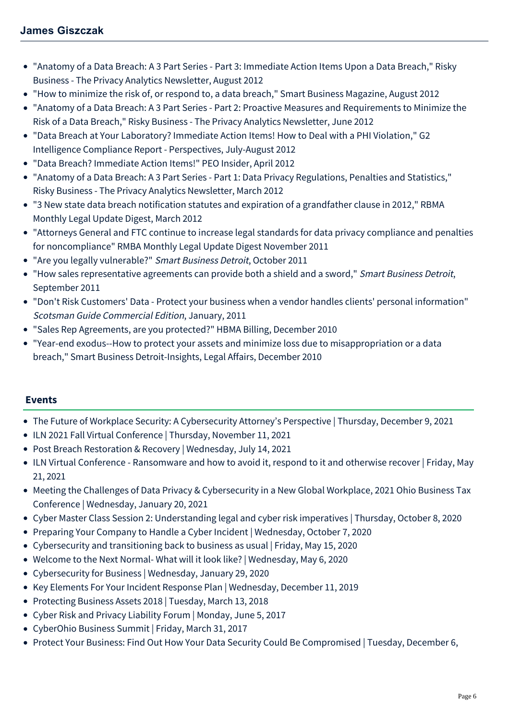- "[Anatomy of a Data Breach: A 3 Part Series Part 3: Immediate Action Items Upon a Data Breach,](https://mcdonaldhopkins.com/documents/attorney/Anatomy%20of%20a%20Data%20Breach%20Part%203.pdf)" Risky Business - The Privacy Analytics Newsletter, August 2012
- "[How to minimize the risk of, or respond to, a data breach](http://www.sbnonline.com/2012/08/how-to-minimize-the-risk-of-or-respond-to-a-data-breach/?full=1)," Smart Business Magazine, August 2012
- ["Anatomy of a Data Breach: A 3 Part Series Part 2: Proactive Measures and Requirements to Minimize the](https://mcdonaldhopkins.com/documents/attorney/Anatomy%20of%20a%20Data%20Breach%20%20A%203%20Part%20Series%20-%20Part%202.pdf) Risk of a Data Breach," Risky Business - The Privacy Analytics Newsletter, June 2012
- "Data Breach at Your Laboratory? Immediate Action Items! How to Deal with a PHI Violation," G2 Intelligence Compliance Report - Perspectives, July-August 2012
- ["Data Breach? Immediate Action Items!"](http://www.mcdonaldhopkins.com/documents/news/Giszczak%20Paluzzi%204%2012.pdf) PEO Insider, April 2012
- "[Anatomy of a Data Breach: A 3 Part Series Part 1: Data Privacy Regulations, Penalties and Statistics,](http://www.mcdonaldhopkins.com/documents/news/anatomy%20of%20a%20data%20breach.pdf)" Risky Business - The Privacy Analytics Newsletter, March 2012
- "3 New state data breach notification statutes and expiration of a grandfather clause in 2012," RBMA Monthly Legal Update Digest, March 2012
- "Attorneys General and FTC continue to increase legal standards for data privacy compliance and penalties for noncompliance" RMBA Monthly Legal Update Digest November 2011
- "[Are you legally vulnerable?"](http://www.mcdonaldhopkins.com/news.aspx?id=zGT_wg50ZEy4bhjfvHbTVQ) Smart Business Detroit, October 2011
- "How sales representative agreements can provide both a shield and a sword," Smart Business Detroit, September 2011
- "[Don't Risk Customers' Data Protect your business when a vendor handles clients' personal information"](http://www.mcdonaldhopkins.com/documents/news/BurgerCOM0111.pdf) Scotsman Guide Commercial Edition, January, 2011
- "[Sales Rep Agreements, are you protected?"](http://www.mcdonaldhopkins.com/documents/news/Billing_Nov-Dec10_SalesReps.pdf) HBMA Billing, December 2010
- ["Year-end exodus--How to protect your assets and minimize loss due to misappropriation or a data](http://www.mcdonaldhopkins.com/documents/news/Smart%20Business%20Detroit%20Insights%20Article-Dec%202010-Giszczak%20(2490960).PDF) breach," Smart Business Detroit-Insights, Legal Affairs, December 2010

# **Events**

- [The Future of Workplace Security: A Cybersecurity Attorney's Perspective | Thursday, December 9, 2021](https://mcdonaldhopkins.com/Events/2021/The-Future-of-Workplace-Security-A-Cybersecurity-A)
- [ILN 2021 Fall Virtual Conference | Thursday, November 11, 2021](https://mcdonaldhopkins.com/Events/2021/ILN-2021-Fall-Virtual-Conference)
- [Post Breach Restoration & Recovery | Wednesday, July 14, 2021](https://mcdonaldhopkins.com/Events/2021/Post-Breach-Restoration-Recovery)
- [ILN Virtual Conference Ransomware and how to avoid it, respond to it and otherwise recover | Friday, May](https://mcdonaldhopkins.com/Events/2021/ILN-Virtual-Conference-Ransomware-and-how-to-avoid) 21, 2021
- [Meeting the Challenges of Data Privacy & Cybersecurity in a New Global Workplace, 2021 Ohio Business Tax](https://mcdonaldhopkins.com/Events/2021/Meeting-the-Challenges-of-Data-Privacy-Cybersecuri) Conference | Wednesday, January 20, 2021
- [Cyber Master Class Session 2: Understanding legal and cyber risk imperatives | Thursday, October 8, 2020](https://mcdonaldhopkins.com/Events/2020/Cyber-Master-Class-Session-2)
- [Preparing Your Company to Handle a Cyber Incident | Wednesday, October 7, 2020](https://mcdonaldhopkins.com/Events/2020/Preparing-Your-Company-to-Handle-a-Cyber-Incident)
- [Cybersecurity and transitioning back to business as usual | Friday, May 15, 2020](https://mcdonaldhopkins.com/Events/2020/Cybersecurity-and-transitioning-back-to-business-a)
- [Welcome to the Next Normal- What will it look like? | Wednesday, May 6, 2020](https://mcdonaldhopkins.com/Events/2020/Welcome-to-the-Next-Normal-What-will-it-look-like)
- [Cybersecurity for Business | Wednesday, January 29, 2020](https://mcdonaldhopkins.com/Events/2020/Cybersecurity-for-Business)
- [Key Elements For Your Incident Response Plan | Wednesday, December 11, 2019](https://mcdonaldhopkins.com/Events/2019/Key-Elements-For-Your-Incident-Response-Plan)
- [Protecting Business Assets 2018 | Tuesday, March 13, 2018](https://mcdonaldhopkins.com/Events/2018/Protecting-Business-Assets-2018)
- [Cyber Risk and Privacy Liability Forum | Monday, June 5, 2017](https://mcdonaldhopkins.com/Events/2017/Cyber-Risk-and-Privacy-Liability-Forum)
- [CyberOhio Business Summit | Friday, March 31, 2017](https://mcdonaldhopkins.com/Events/2017/CyberOhio-Business-Summit)
- [Protect Your Business: Find Out How Your Data Security Could Be Compromised | Tuesday, December 6,](https://mcdonaldhopkins.com/Events/2016/Protect-Your-Business)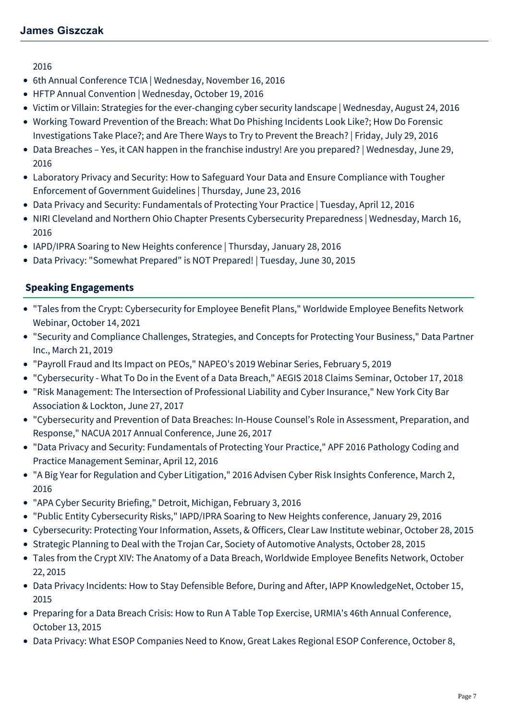[2016](https://mcdonaldhopkins.com/Events/2016/Protect-Your-Business)

- [6th Annual Conference TCIA | Wednesday, November 16, 2016](https://mcdonaldhopkins.com/Events/2016/6th-Annual-Conference-TCIA)
- [HFTP Annual Convention | Wednesday, October 19, 2016](https://mcdonaldhopkins.com/Events/2016/HFTP-Annual-Convention)
- [Victim or Villain: Strategies for the ever-changing cyber security landscape | Wednesday, August 24, 2016](https://mcdonaldhopkins.com/Events/2016/Victim-or-Villain)
- [Working Toward Prevention of the Breach: What Do Phishing Incidents Look Like?; How Do Forensic](https://mcdonaldhopkins.com/Events/2016/Working-Toward-Prevention-of-the-Breach) Investigations Take Place?; and Are There Ways to Try to Prevent the Breach? | Friday, July 29, 2016
- [Data Breaches Yes, it CAN happen in the franchise industry! Are you prepared? | Wednesday, June 29,](https://mcdonaldhopkins.com/Events/2016/Data-Breaches-Webinar) 2016
- [Laboratory Privacy and Security: How to Safeguard Your Data and Ensure Compliance with Tougher](https://mcdonaldhopkins.com/Events/2016/Laboratory-Privacy-and-Security-Webinar) Enforcement of Government Guidelines | Thursday, June 23, 2016
- [Data Privacy and Security: Fundamentals of Protecting Your Practice | Tuesday, April 12, 2016](https://mcdonaldhopkins.com/Events/2016/Data-Privacy-and-Security-Fundamentals-of-Protecting-Your-Practice)
- [NIRI Cleveland and Northern Ohio Chapter Presents Cybersecurity Preparedness | Wednesday, March 16,](https://mcdonaldhopkins.com/Events/2016/NIRI-Cleveland-and-Northern-Ohio-Chapter-Presents-Cybersecurity-Preparedness) 2016
- [IAPD/IPRA Soaring to New Heights conference | Thursday, January 28, 2016](https://mcdonaldhopkins.com/Events/2016/IAPDIPRA-Soaring-to-New-Heights-conference)
- [Data Privacy: "Somewhat Prepared" is NOT Prepared! | Tuesday, June 30, 2015](https://mcdonaldhopkins.com/Events/2015/Data-Privacy-Somewhat-Prepared-is-NOT-Prepared)

# **Speaking Engagements**

- "Tales from the Crypt: Cybersecurity for Employee Benefit Plans," Worldwide Employee Benefits Network Webinar, October 14, 2021
- "Security and Compliance Challenges, Strategies, and Concepts for Protecting Your Business," Data Partner Inc., March 21, 2019
- "Payroll Fraud and Its Impact on PEOs," NAPEO's 2019 Webinar Series, February 5, 2019
- "Cybersecurity What To Do in the Event of a Data Breach," AEGIS 2018 Claims Seminar, October 17, 2018
- "Risk Management: The Intersection of Professional Liability and Cyber Insurance," New York City Bar Association & Lockton, June 27, 2017
- "Cybersecurity and Prevention of Data Breaches: In-House Counsel's Role in Assessment, Preparation, and Response," NACUA 2017 Annual Conference, June 26, 2017
- "Data Privacy and Security: Fundamentals of Protecting Your Practice," APF 2016 Pathology Coding and Practice Management Seminar, April 12, 2016
- "A Big Year for Regulation and Cyber Litigation," 2016 Advisen Cyber Risk Insights Conference, March 2, 2016
- "APA Cyber Security Briefing," Detroit, Michigan, February 3, 2016
- "Public Entity Cybersecurity Risks," IAPD/IPRA Soaring to New Heights conference, January 29, 2016
- Cybersecurity: Protecting Your Information, Assets, & Officers, Clear Law Institute webinar, October 28, 2015
- Strategic Planning to Deal with the Trojan Car, Society of Automotive Analysts, October 28, 2015
- Tales from the Crypt XIV: The Anatomy of a Data Breach, Worldwide Employee Benefits Network, October 22, 2015
- Data Privacy Incidents: How to Stay Defensible Before, During and After, IAPP KnowledgeNet, October 15, 2015
- Preparing for a Data Breach Crisis: How to Run A Table Top Exercise, URMIA's 46th Annual Conference, October 13, 2015
- Data Privacy: What ESOP Companies Need to Know, Great Lakes Regional ESOP Conference, October 8,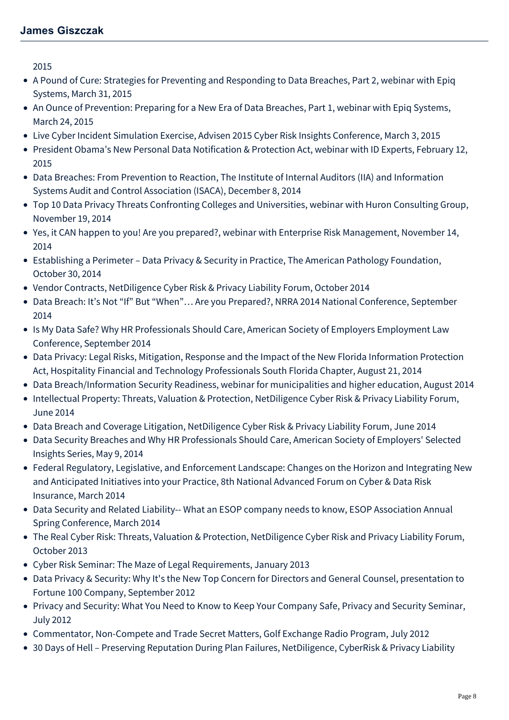2015

- A Pound of Cure: Strategies for Preventing and Responding to Data Breaches, Part 2, webinar with Epiq Systems, March 31, 2015
- An Ounce of Prevention: Preparing for a New Era of Data Breaches, Part 1, webinar with Epiq Systems, March 24, 2015
- Live Cyber Incident Simulation Exercise, Advisen 2015 Cyber Risk Insights Conference, March 3, 2015
- President Obama's New Personal Data Notification & Protection Act, webinar with ID Experts, February 12, 2015
- Data Breaches: From Prevention to Reaction, The Institute of Internal Auditors (IIA) and Information Systems Audit and Control Association (ISACA), December 8, 2014
- Top 10 Data Privacy Threats Confronting Colleges and Universities, webinar with Huron Consulting Group, November 19, 2014
- Yes, it CAN happen to you! Are you prepared?, webinar with Enterprise Risk Management, November 14, 2014
- Establishing a Perimeter Data Privacy & Security in Practice, The American Pathology Foundation, October 30, 2014
- Vendor Contracts, NetDiligence Cyber Risk & Privacy Liability Forum, October 2014
- Data Breach: It's Not "If" But "When"… Are you Prepared?, NRRA 2014 National Conference, September 2014
- Is My Data Safe? Why HR Professionals Should Care, American Society of Employers Employment Law Conference, September 2014
- Data Privacy: Legal Risks, Mitigation, Response and the Impact of the New Florida Information Protection Act, Hospitality Financial and Technology Professionals South Florida Chapter, August 21, 2014
- Data Breach/Information Security Readiness, webinar for municipalities and higher education, August 2014
- Intellectual Property: Threats, Valuation & Protection, NetDiligence Cyber Risk & Privacy Liability Forum, June 2014
- Data Breach and Coverage Litigation, NetDiligence Cyber Risk & Privacy Liability Forum, June 2014
- Data Security Breaches and Why HR Professionals Should Care, American Society of Employers' Selected Insights Series, May 9, 2014
- Federal Regulatory, Legislative, and Enforcement Landscape: Changes on the Horizon and Integrating New and Anticipated Initiatives into your Practice, 8th National Advanced Forum on Cyber & Data Risk Insurance, March 2014
- Data Security and Related Liability-- What an ESOP company needs to know, ESOP Association Annual Spring Conference, March 2014
- The Real Cyber Risk: Threats, Valuation & Protection, NetDiligence Cyber Risk and Privacy Liability Forum, October 2013
- Cyber Risk Seminar: The Maze of Legal Requirements, January 2013
- Data Privacy & Security: Why It's the New Top Concern for Directors and General Counsel, presentation to Fortune 100 Company, September 2012
- Privacy and Security: What You Need to Know to Keep Your Company Safe, Privacy and Security Seminar, July 2012
- Commentator, Non-Compete and Trade Secret Matters, Golf Exchange Radio Program, July 2012
- 30 Days of Hell Preserving Reputation During Plan Failures, NetDiligence, CyberRisk & Privacy Liability